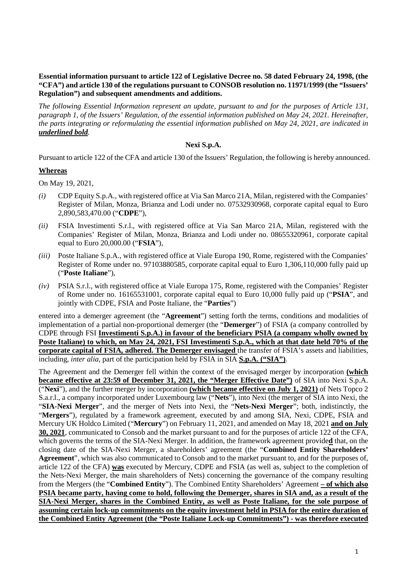### **Essential information pursuant to article 122 of Legislative Decree no. 58 dated February 24, 1998, (the "CFA") and article 130 of the regulations pursuant to CONSOB resolution no. 11971/1999 (the "Issuers' Regulation") and subsequent amendments and additions.**

*The following Essential Information represent an update, pursuant to and for the purposes of Article 131, paragraph 1, of the Issuers' Regulation, of the essential information published on May 24, 2021. Hereinafter, the parts integrating or reformulating the essential information published on May 24, 2021, are indicated in underlined bold.*

#### **Nexi S.p.A.**

Pursuant to article 122 of the CFA and article 130 of the Issuers' Regulation, the following is hereby announced.

#### **Whereas**

On May 19, 2021,

- *(i)* CDP Equity S.p.A., with registered office at Via San Marco 21A, Milan, registered with the Companies' Register of Milan, Monza, Brianza and Lodi under no. 07532930968, corporate capital equal to Euro 2,890,583,470.00 ("**CDPE**"),
- *(ii)* FSIA Investimenti S.r.l., with registered office at Via San Marco 21A, Milan, registered with the Companies' Register of Milan, Monza, Brianza and Lodi under no. 08655320961, corporate capital equal to Euro 20,000.00 ("**FSIA**"),
- *(iii)* Poste Italiane S.p.A., with registered office at Viale Europa 190, Rome, registered with the Companies' Register of Rome under no. 97103880585, corporate capital equal to Euro 1,306,110,000 fully paid up ("**Poste Italiane**"),
- *(iv)* PSIA S.r.l., with registered office at Viale Europa 175, Rome, registered with the Companies' Register of Rome under no. 16165531001, corporate capital equal to Euro 10,000 fully paid up ("**PSIA**", and jointly with CDPE, FSIA and Poste Italiane, the "**Parties**")

entered into a demerger agreement (the "**Agreement**") setting forth the terms, conditions and modalities of implementation of a partial non-proportional demerger (the "**Demerger**") of FSIA (a company controlled by CDPE through FSI **Investimenti S.p.A.) in favour of the beneficiary PSIA (a company wholly owned by Poste Italiane) to which, on May 24, 2021, FSI Investimenti S.p.A., which at that date held 70% of the corporate capital of FSIA, adhered. The Demerger envisaged** the transfer of FSIA's assets and liabilities, including, *inter alia*, part of the participation held by FSIA in SIA **S.p.A. ("SIA")**.

The Agreement and the Demerger fell within the context of the envisaged merger by incorporation **(which became effective at 23:59 of December 31, 2021, the "Merger Effective Date")** of SIA into Nexi S.p.A. ("**Nexi**"), and the further merger by incorporation **(which became effective on July 1, 2021)** of Nets Topco 2 S.a.r.l., a company incorporated under Luxembourg law ("**Nets**"), into Nexi (the merger of SIA into Nexi, the "**SIA-Nexi Merger**", and the merger of Nets into Nexi, the "**Nets-Nexi Merger**"; both, indistinctly, the "**Mergers**"), regulated by a framework agreement, executed by and among SIA, Nexi, CDPE, FSIA and Mercury UK Holdco Limited ("**Mercury**") on February 11, 2021, and amended on May 18, 2021 **and on July 30, 2021**, communicated to Consob and the market pursuant to and for the purposes of article 122 of the CFA, which governs the terms of the SIA-Nexi Merger. In addition, the framework agreement provide**d** that, on the closing date of the SIA-Nexi Merger, a shareholders' agreement (the "**Combined Entity Shareholders' Agreement**", which was also communicated to Consob and to the market pursuant to, and for the purposes of, article 122 of the CFA) **was** executed by Mercury, CDPE and FSIA (as well as, subject to the completion of the Nets-Nexi Merger, the main shareholders of Nets) concerning the governance of the company resulting from the Mergers (the "**Combined Entity**"). The Combined Entity Shareholders' Agreement **– of which also PSIA became party, having come to hold, following the Demerger, shares in SIA and, as a result of the SIA-Nexi Merger, shares in the Combined Entity, as well as Poste Italiane, for the sole purpose of assuming certain lock-up commitments on the equity investment held in PSIA for the entire duration of the Combined Entity Agreement (the "Poste Italiane Lock-up Commitments") - was therefore executed**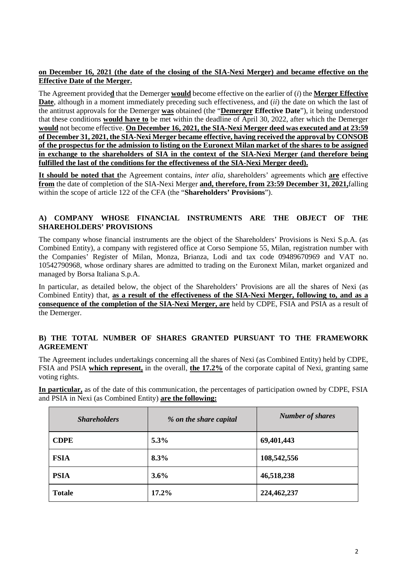# **on December 16, 2021 (the date of the closing of the SIA-Nexi Merger) and became effective on the Effective Date of the Merger.**

The Agreement provide**d** that the Demerger **would** become effective on the earlier of (*i*) the **Merger Effective Date**, although in a moment immediately preceding such effectiveness, and (*ii*) the date on which the last of the antitrust approvals for the Demerger **was** obtained (the "**Demerger Effective Date**"), it being understood that these conditions **would have to** be met within the deadline of April 30, 2022, after which the Demerger **would** not become effective. **On December 16, 2021, the SIA-Nexi Merger deed was executed and at 23:59 of December 31, 2021, the SIA-Nexi Merger became effective, having received the approval by CONSOB of the prospectus for the admission to listing on the Euronext Milan market of the shares to be assigned in exchange to the shareholders of SIA in the context of the SIA-Nexi Merger (and therefore being fulfilled the last of the conditions for the effectiveness of the SIA-Nexi Merger deed).**

**It should be noted that t**he Agreement contains, *inter alia*, shareholders' agreements which **are** effective **from** the date of completion of the SIA-Nexi Merger **and, therefore, from 23:59 December 31, 2021,**falling within the scope of article 122 of the CFA (the "**Shareholders' Provisions**").

# **A) COMPANY WHOSE FINANCIAL INSTRUMENTS ARE THE OBJECT OF THE SHAREHOLDERS' PROVISIONS**

The company whose financial instruments are the object of the Shareholders' Provisions is Nexi S.p.A. (as Combined Entity), a company with registered office at Corso Sempione 55, Milan, registration number with the Companies' Register of Milan, Monza, Brianza, Lodi and tax code 09489670969 and VAT no. 10542790968, whose ordinary shares are admitted to trading on the Euronext Milan, market organized and managed by Borsa Italiana S.p.A.

In particular, as detailed below, the object of the Shareholders' Provisions are all the shares of Nexi (as Combined Entity) that, **as a result of the effectiveness of the SIA-Nexi Merger, following to, and as a consequence of the completion of the SIA-Nexi Merger, are** held by CDPE, FSIA and PSIA as a result of the Demerger.

### **B) THE TOTAL NUMBER OF SHARES GRANTED PURSUANT TO THE FRAMEWORK AGREEMENT**

The Agreement includes undertakings concerning all the shares of Nexi (as Combined Entity) held by CDPE, FSIA and PSIA **which represent,** in the overall, **the 17.2%** of the corporate capital of Nexi, granting same voting rights.

**In particular,** as of the date of this communication, the percentages of participation owned by CDPE, FSIA and PSIA in Nexi (as Combined Entity) **are the following:**

| <b>Shareholders</b> | % on the share capital | <b>Number of shares</b> |
|---------------------|------------------------|-------------------------|
| <b>CDPE</b>         | 5.3%                   | 69,401,443              |
| <b>FSIA</b>         | 8.3%                   | 108,542,556             |
| <b>PSIA</b>         | 3.6%                   | 46,518,238              |
| <b>Totale</b>       | 17.2%                  | 224,462,237             |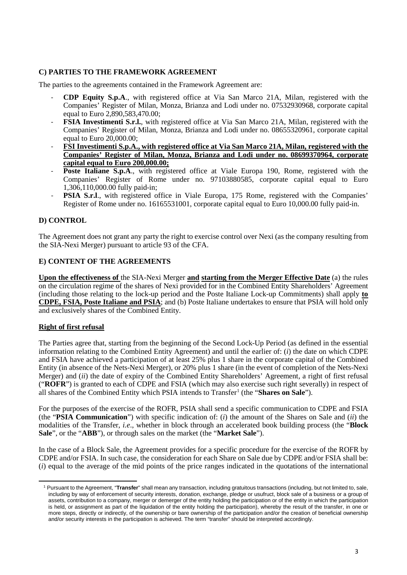# **C) PARTIES TO THE FRAMEWORK AGREEMENT**

The parties to the agreements contained in the Framework Agreement are:

- **CDP Equity S.p.A**., with registered office at Via San Marco 21A, Milan, registered with the Companies' Register of Milan, Monza, Brianza and Lodi under no. 07532930968, corporate capital equal to Euro 2,890,583,470.00;
- **FSIA Investimenti S.r.l.**, with registered office at Via San Marco 21A, Milan, registered with the Companies' Register of Milan, Monza, Brianza and Lodi under no. 08655320961, corporate capital equal to Euro 20,000.00;
- **FSI Investimenti S.p.A., with registered office at Via San Marco 21A, Milan, registered with the Companies' Register of Milan, Monza, Brianza and Lodi under no. 08699370964, corporate capital equal to Euro 200,000.00;**
- Poste Italiane S.p.A., with registered office at Viale Europa 190, Rome, registered with the Companies' Register of Rome under no. 97103880585, corporate capital equal to Euro 1,306,110,000.00 fully paid-in;
- **PSIA S.r.l.**, with registered office in Viale Europa, 175 Rome, registered with the Companies' Register of Rome under no. 16165531001, corporate capital equal to Euro 10,000.00 fully paid-in.

# **D) CONTROL**

The Agreement does not grant any party the right to exercise control over Nexi (as the company resulting from the SIA-Nexi Merger) pursuant to article 93 of the CFA.

#### **E) CONTENT OF THE AGREEMENTS**

**Upon the effectiveness of** the SIA-Nexi Merger **and starting from the Merger Effective Date** (a) the rules on the circulation regime of the shares of Nexi provided for in the Combined Entity Shareholders' Agreement (including those relating to the lock-up period and the Poste Italiane Lock-up Commitments) shall apply **to CDPE, FSIA, Poste Italiane and PSIA**; and (b) Poste Italiane undertakes to ensure that PSIA will hold only and exclusively shares of the Combined Entity.

#### **Right of first refusal**

<span id="page-2-0"></span> $\overline{a}$ 

The Parties agree that, starting from the beginning of the Second Lock-Up Period (as defined in the essential information relating to the Combined Entity Agreement) and until the earlier of: (*i*) the date on which CDPE and FSIA have achieved a participation of at least 25% plus 1 share in the corporate capital of the Combined Entity (in absence of the Nets-Nexi Merger), or 20% plus 1 share (in the event of completion of the Nets-Nexi Merger) and (*ii*) the date of expiry of the Combined Entity Shareholders' Agreement, a right of first refusal ("**ROFR**") is granted to each of CDPE and FSIA (which may also exercise such right severally) in respect of all shares of the Combined Entity which PSIA intends to Transfer<sup>[1](#page-2-0)</sup> (the "**Shares on Sale**").

For the purposes of the exercise of the ROFR, PSIA shall send a specific communication to CDPE and FSIA (the "**PSIA Communication**") with specific indication of: (*i*) the amount of the Shares on Sale and (*ii*) the modalities of the Transfer, *i.e*., whether in block through an accelerated book building process (the "**Block Sale**", or the "**ABB**"), or through sales on the market (the "**Market Sale**").

In the case of a Block Sale, the Agreement provides for a specific procedure for the exercise of the ROFR by CDPE and/or FSIA. In such case, the consideration for each Share on Sale due by CDPE and/or FSIA shall be: (*i*) equal to the average of the mid points of the price ranges indicated in the quotations of the international

<sup>1</sup> Pursuant to the Agreement, "**Transfer**" shall mean any transaction, including gratuitous transactions (including, but not limited to, sale, including by way of enforcement of security interests, donation, exchange, pledge or usufruct, block sale of a business or a group of assets, contribution to a company, merger or demerger of the entity holding the participation or of the entity in which the participation is held, or assignment as part of the liquidation of the entity holding the participation), whereby the result of the transfer, in one or more steps, directly or indirectly, of the ownership or bare ownership of the participation and/or the creation of beneficial ownership and/or security interests in the participation is achieved. The term "transfer" should be interpreted accordingly.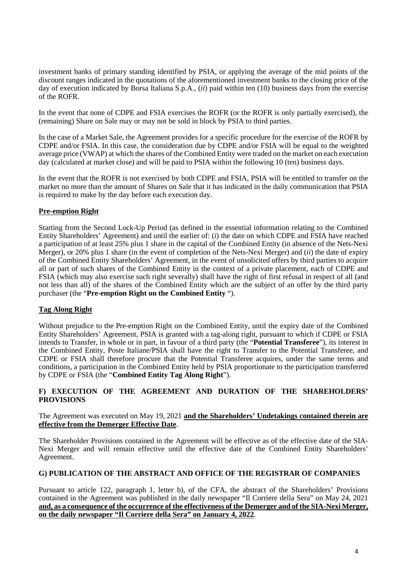investment banks of primary standing identified by PSIA, or applying the average of the mid points of the discount ranges indicated in the quotations of the aforementioned investment banks to the closing price of the day of execution indicated by Borsa Italiana S.p.A., (*ii*) paid within ten (10) business days from the exercise of the ROFR.

In the event that none of CDPE and FSIA exercises the ROFR (or the ROFR is only partially exercised), the (remaining) Share on Sale may or may not be sold in block by PSIA to third parties.

In the case of a Market Sale, the Agreement provides for a specific procedure for the exercise of the ROFR by CDPE and/or FSIA. In this case, the consideration due by CDPE and/or FSIA will be equal to the weighted average price (VWAP) at which the shares of the Combined Entity were traded on the market on each execution day (calculated at market close) and will be paid to PSIA within the following 10 (ten) business days.

In the event that the ROFR is not exercised by both CDPE and FSIA. PSIA will be entitled to transfer on the market no more than the amount of Shares on Sale that it has indicated in the daily communication that PSIA is required to make by the day before each execution day.

# **Pre-emption Right**

Starting from the Second Lock-Up Period (as defined in the essential information relating to the Combined Entity Shareholders' Agreement) and until the earlier of: (*i*) the date on which CDPE and FSIA have reached a participation of at least 25% plus 1 share in the capital of the Combined Entity (in absence of the Nets-Nexi Merger), or 20% plus 1 share (in the event of completion of the Nets-Nexi Merger) and (*ii*) the date of expiry of the Combined Entity Shareholders' Agreement, in the event of unsolicited offers by third parties to acquire all or part of such shares of the Combined Entity in the context of a private placement, each of CDPE and FSIA (which may also exercise such right severally) shall have the right of first refusal in respect of all (and not less than all) of the shares of the Combined Entity which are the subject of an offer by the third party purchaser (the "**Pre-emption Right on the Combined Entity** ").

# **Tag Along Right**

Without prejudice to the Pre-emption Right on the Combined Entity, until the expiry date of the Combined Entity Shareholders' Agreement, PSIA is granted with a tag-along right, pursuant to which if CDPE or FSIA intends to Transfer, in whole or in part, in favour of a third party (the "**Potential Transferee**"), its interest in the Combined Entity, Poste Italiane/PSIA shall have the right to Transfer to the Potential Transferee, and CDPE or FSIA shall therefore procure that the Potential Transferee acquires, under the same terms and conditions, a participation in the Combined Entity held by PSIA proportionate to the participation transferred by CDPE or FSIA (the "**Combined Entity Tag Along Right**").

### **F) EXECUTION OF THE AGREEMENT AND DURATION OF THE SHAREHOLDERS' PROVISIONS**

### The Agreement was executed on May 19, 2021 **and the Shareholders' Undetakings contained therein are effective from the Demerger Effective Date**.

The Shareholder Provisions contained in the Agreement will be effective as of the effective date of the SIA-Nexi Merger and will remain effective until the effective date of the Combined Entity Shareholders' Agreement.

# **G) PUBLICATION OF THE ABSTRACT AND OFFICE OF THE REGISTRAR OF COMPANIES**

Pursuant to article 122, paragraph 1, letter b), of the CFA, the abstract of the Shareholders' Provisions contained in the Agreement was published in the daily newspaper "Il Corriere della Sera" on May 24, 2021 **and, as a consequence of the occurrence of the effectiveness of the Demerger and of the SIA-Nexi Merger, on the daily newspaper "Il Corriere della Sera" on January 4, 2022**.